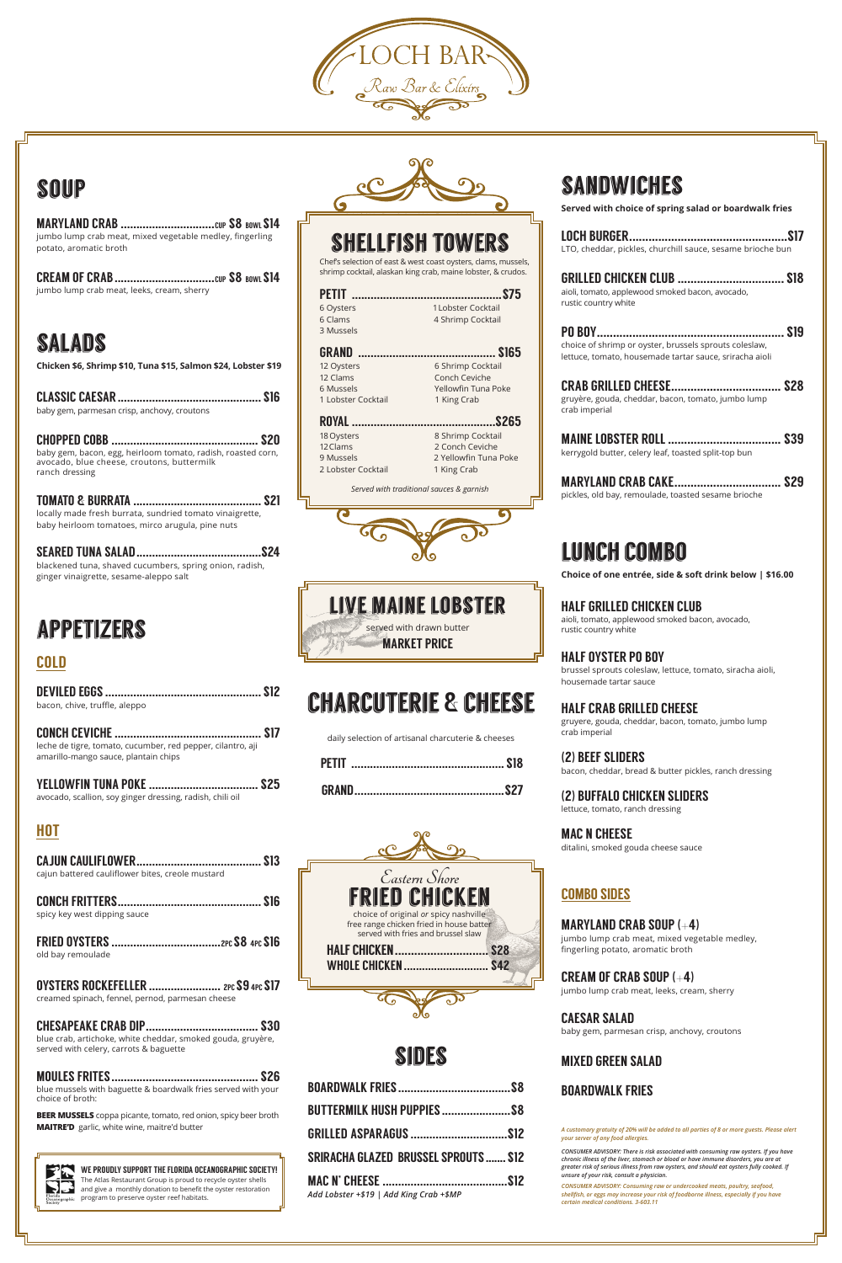*A customary gratuity of 20% will be added to all parties of 8 or more guests. Please alert your server of any food allergies.*

*CONSUMER ADVISORY: There is risk associated with consuming raw oysters. If you have chronic illness of the liver, stomach or blood or have immune disorders, you are at greater risk of serious illness from raw oysters, and should eat oysters fully cooked. If unsure of your risk, consult a physician.*

*CONSUMER ADVISORY: Consuming raw or undercooked meats, poultry, seafood, shellfish, or eggs may increase your risk of foodborne illness, especially if you have certain medical conditions. 3-603.11*

# sandwiches

**Served with choice of spring salad or boardwalk fries**

| LTO, cheddar, pickles, churchill sauce, sesame brioche bun                                                        |            |
|-------------------------------------------------------------------------------------------------------------------|------------|
| GRILLED CHICKEN CLUB<br>aioli, tomato, applewood smoked bacon, avocado,<br>rustic country white                   | <b>S18</b> |
| choice of shrimp or oyster, brussels sprouts coleslaw,<br>lettuce, tomato, housemade tartar sauce, sriracha aioli | \$19       |
| gruyère, gouda, cheddar, bacon, tomato, jumbo lump<br>crab imperial                                               | S28        |
| kerrygold butter, celery leaf, toasted split-top bun                                                              | 839        |
| <b>MARYLAND CRAB CAKE</b><br>pickles, old bay, remoulade, toasted sesame brioche                                  |            |

# lunch combo

**Choice of one entrée, side & soft drink below | \$16.00**

| insulite Onon                                                                                                           |            |
|-------------------------------------------------------------------------------------------------------------------------|------------|
| <b>FRIED CHICKEN</b>                                                                                                    |            |
| choice of original or spicy nashville<br>free range chicken fried in house batter<br>served with fries and brussel slaw |            |
| <b>HALF CHICKEN</b>                                                                                                     | <b>S28</b> |
| <b>WHOLE CHICKEN</b>                                                                                                    | <b>S42</b> |
|                                                                                                                         |            |
|                                                                                                                         |            |

#### HALF GRILLED CHICKEN CLUB

aioli, tomato, applewood smoked bacon, avocado, rustic country white

#### HALF OYSTER PO BOY

brussel sprouts coleslaw, lettuce, tomato, siracha aioli, housemade tartar sauce

#### HALF CRAB GRILLED CHEESE

gruyere, gouda, cheddar, bacon, tomato, jumbo lump crab imperial

#### (2) BEEF SLIDERS

bacon, cheddar, bread & butter pickles, ranch dressing

#### (2) BUFFALO CHICKEN SLIDERS

lettuce, tomato, ranch dressing

#### MAC N CHEESE

ditalini, smoked gouda cheese sauce

#### COMBO SIDES

#### MARYLAND CRAB SOUP (+4)

jumbo lump crab meat, mixed vegetable medley, fingerling potato, aromatic broth

### CREAM OF CRAB SOUP (+4)

jumbo lump crab meat, leeks, cream, sherry

### CAESAR SALAD

baby gem, parmesan crisp, anchovy, croutons

### MIXED GREEN SALAD

### BOARDWALK FRIES

WE PROUDLY SUPPORT THE FLORIDA OCEANOGRAPHIC SOCIETY!

The Atlas Restaurant Group is proud to recycle oyster shells and give a monthly donation to benefit the oyster restoration program to preserve oyster reef habitats.

# charcuterie & cheese

daily selection of artisanal charcuterie & cheeses

| GR A |  |
|------|--|



#### **OYSTERS ROCKEFELLER ......................... 2PC \$9 4PC \$17** creamed spinach, fennel, pernod, parmesan cheese

| BUTTERMILK HUSH PUPPIESS8                   |  |
|---------------------------------------------|--|
| GRILLED ASPARAGUS S12                       |  |
| <b>SRIRACHA GLAZED BRUSSEL SPROUTS \$12</b> |  |
| Add Lobster +\$19   Add King Crab +\$MP     |  |



# **Eastern Shore**

# shellfish towers

Chef's selection of east & west coast oysters, clams, mussels, shrimp cocktail, alaskan king crab, maine lobster, & crudos.

| PETIT              |                       |
|--------------------|-----------------------|
| 6 Oysters          | 1 Lobster Cocktail    |
| 6 Clams            | 4 Shrimp Cocktail     |
| 3 Mussels          |                       |
| GRAND              | <b>S165</b>           |
|                    |                       |
| 12 Oysters         | 6 Shrimp Cocktail     |
| 12 Clams           | Conch Ceviche         |
| 6 Mussels          | Yellowfin Tuna Poke   |
| 1 Lobster Cocktail | 1 King Crab           |
| ROYAL              | <b>S265</b><br>.      |
| 18 Oysters         | 8 Shrimp Cocktail     |
| 12 Clams           | 2 Conch Ceviche       |
|                    |                       |
| 9 Mussels          | 2 Yellowfin Tuna Poke |
| 2 Lobster Cocktail | 1 King Crab           |

*Served with traditional sauces & garnish*





### soup

MARYLAND CRAB ..............................cup \$8 bowl \$14 jumbo lump crab meat, mixed vegetable medley, fingerling potato, aromatic broth

CREAM OF CRAB................................cup \$8 bowl \$14 jumbo lump crab meat, leeks, cream, sherry

# salads

**Chicken \$6, Shrimp \$10, Tuna \$15, Salmon \$24, Lobster \$19**

| baby gem, parmesan crisp, anchovy, croutons |  |
|---------------------------------------------|--|

CHOPPED COBB ............................................... \$20 baby gem, bacon, egg, heirloom tomato, radish, roasted corn, avocado, blue cheese, croutons, buttermilk ranch dressing

TOMATO & BURRATA ......................................... \$21 locally made fresh burrata, sundried tomato vinaigrette, baby heirloom tomatoes, mirco arugula, pine nuts

SEARED TUNA SALAD........................................\$24 blackened tuna, shaved cucumbers, spring onion, radish, ginger vinaigrette, sesame-aleppo salt

# appetizers

### COLD

| bacon, chive, truffle, aleppo                                                                       |             |
|-----------------------------------------------------------------------------------------------------|-------------|
| leche de tigre, tomato, cucumber, red pepper, cilantro, aji<br>amarillo-mango sauce, plantain chips |             |
| <b>YELLOWFIN TUNA POKE </b><br>avocado, scallion, soy ginger dressing, radish, chili oil            | <b>\$25</b> |

### HOT

CAJUN CAULIFLOWER........................................ \$13 cajun battered cauliflower bites, creole mustard



| spicy key west dipping sauce |  |
|------------------------------|--|

FRIED OYSTERS ...................................2pc\$8 4pc \$16 old bay remoulade

CHESAPEAKE CRAB DIP.................................... \$30 blue crab, artichoke, white cheddar, smoked gouda, gruyère, served with celery, carrots & baguette

### MOULES FRITES............................................... \$26

blue mussels with baguette & boardwalk fries served with your choice of broth:

**BEER MUSSELS** coppa picante, tomato, red onion, spicy beer broth **MAITRE'D** garlic, white wine, maitre'd butter